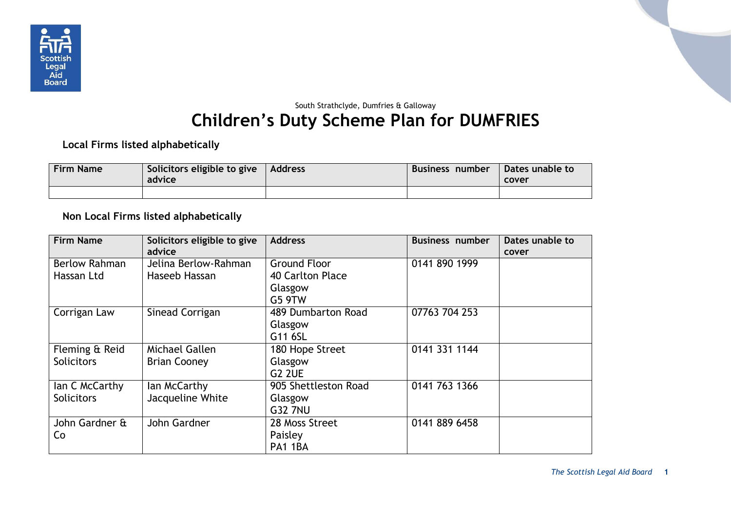

## South Strathclyde, Dumfries & Galloway **Children's Duty Scheme Plan for DUMFRIES**

**Local Firms listed alphabetically**

| <b>Firm Name</b> | Solicitors eligible to give<br>advice | Address | Business number | Dates unable to<br>cover |
|------------------|---------------------------------------|---------|-----------------|--------------------------|
|                  |                                       |         |                 |                          |

**Non Local Firms listed alphabetically**

| <b>Firm Name</b>     | Solicitors eligible to give<br>advice | <b>Address</b>       | <b>Business number</b> | Dates unable to |
|----------------------|---------------------------------------|----------------------|------------------------|-----------------|
|                      |                                       |                      |                        | cover           |
| <b>Berlow Rahman</b> | Jelina Berlow-Rahman                  | <b>Ground Floor</b>  | 0141 890 1999          |                 |
| Hassan Ltd           | Haseeb Hassan                         | 40 Carlton Place     |                        |                 |
|                      |                                       | Glasgow              |                        |                 |
|                      |                                       | G5 9TW               |                        |                 |
|                      |                                       |                      |                        |                 |
| Corrigan Law         | Sinead Corrigan                       | 489 Dumbarton Road   | 07763 704 253          |                 |
|                      |                                       | Glasgow              |                        |                 |
|                      |                                       | G11 6SL              |                        |                 |
| Fleming & Reid       | Michael Gallen                        | 180 Hope Street      | 0141 331 1144          |                 |
| <b>Solicitors</b>    | <b>Brian Cooney</b>                   | Glasgow              |                        |                 |
|                      |                                       | <b>G2 2UE</b>        |                        |                 |
| lan C McCarthy       | lan McCarthy                          | 905 Shettleston Road | 0141 763 1366          |                 |
| <b>Solicitors</b>    | Jacqueline White                      | Glasgow              |                        |                 |
|                      |                                       | <b>G32 7NU</b>       |                        |                 |
| John Gardner &       | John Gardner                          | 28 Moss Street       | 0141 889 6458          |                 |
| Co                   |                                       | Paisley              |                        |                 |
|                      |                                       | PA1 1BA              |                        |                 |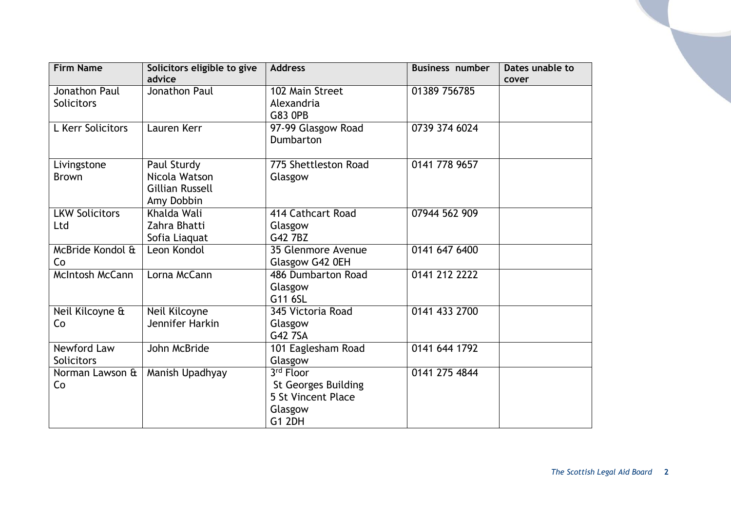| <b>Firm Name</b>      | Solicitors eligible to give | <b>Address</b>             | <b>Business number</b> | Dates unable to |
|-----------------------|-----------------------------|----------------------------|------------------------|-----------------|
|                       | advice                      |                            |                        | cover           |
| Jonathon Paul         | Jonathon Paul               | 102 Main Street            | 01389 756785           |                 |
| <b>Solicitors</b>     |                             | Alexandria                 |                        |                 |
|                       |                             | <b>G83 OPB</b>             |                        |                 |
| L Kerr Solicitors     | Lauren Kerr                 | 97-99 Glasgow Road         | 0739 374 6024          |                 |
|                       |                             | Dumbarton                  |                        |                 |
|                       |                             |                            |                        |                 |
| Livingstone           | Paul Sturdy                 | 775 Shettleston Road       | 0141 778 9657          |                 |
| <b>Brown</b>          | Nicola Watson               | Glasgow                    |                        |                 |
|                       | <b>Gillian Russell</b>      |                            |                        |                 |
|                       | Amy Dobbin                  |                            |                        |                 |
| <b>LKW Solicitors</b> | Khalda Wali                 | 414 Cathcart Road          | 07944 562 909          |                 |
| Ltd                   | Zahra Bhatti                | Glasgow                    |                        |                 |
|                       | Sofia Liaquat               | G42 7BZ                    |                        |                 |
| McBride Kondol &      | Leon Kondol                 | 35 Glenmore Avenue         | 0141 647 6400          |                 |
| Co                    |                             | Glasgow G42 0EH            |                        |                 |
| McIntosh McCann       | Lorna McCann                | 486 Dumbarton Road         | 0141 212 2222          |                 |
|                       |                             | Glasgow                    |                        |                 |
|                       |                             | G11 6SL                    |                        |                 |
| Neil Kilcoyne &       | Neil Kilcoyne               | 345 Victoria Road          | 0141 433 2700          |                 |
| Co                    | Jennifer Harkin             | Glasgow                    |                        |                 |
|                       |                             | G42 7SA                    |                        |                 |
| Newford Law           | John McBride                | 101 Eaglesham Road         | 0141 644 1792          |                 |
| <b>Solicitors</b>     |                             | Glasgow                    |                        |                 |
| Norman Lawson &       | Manish Upadhyay             | 3rd Floor                  | 0141 275 4844          |                 |
| Co                    |                             | <b>St Georges Building</b> |                        |                 |
|                       |                             | 5 St Vincent Place         |                        |                 |
|                       |                             | Glasgow                    |                        |                 |
|                       |                             | <b>G1 2DH</b>              |                        |                 |